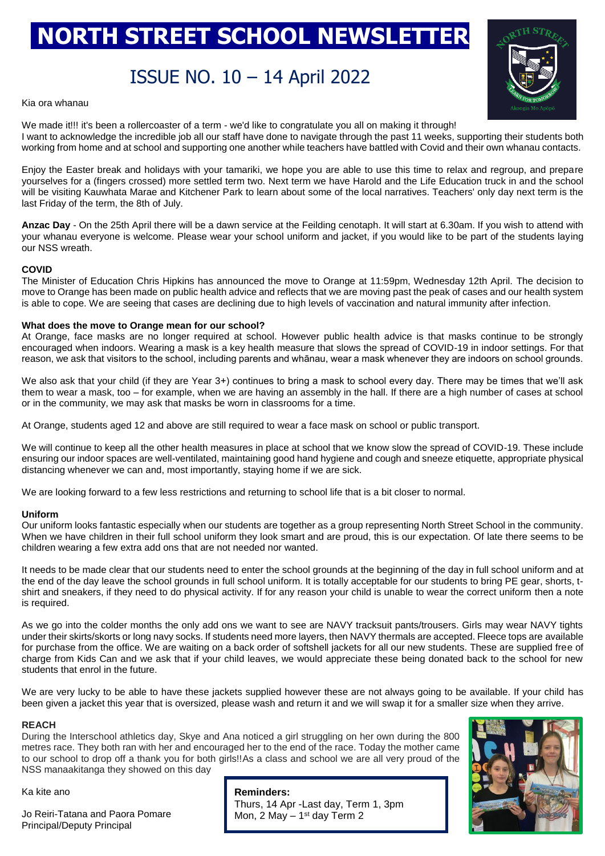# **NORTH STREET SCHOOL NEWSLETTER**

## ISSUE NO. 10 – 14 April 2022



Kia ora whanau

We made it!!! it's been a rollercoaster of a term - we'd like to congratulate you all on making it through! I want to acknowledge the incredible job all our staff have done to navigate through the past 11 weeks, supporting their students both working from home and at school and supporting one another while teachers have battled with Covid and their own whanau contacts.

Enjoy the Easter break and holidays with your tamariki, we hope you are able to use this time to relax and regroup, and prepare yourselves for a (fingers crossed) more settled term two. Next term we have Harold and the Life Education truck in and the school will be visiting Kauwhata Marae and Kitchener Park to learn about some of the local narratives. Teachers' only day next term is the last Friday of the term, the 8th of July.

**Anzac Day** - On the 25th April there will be a dawn service at the Feilding cenotaph. It will start at 6.30am. If you wish to attend with your whanau everyone is welcome. Please wear your school uniform and jacket, if you would like to be part of the students laying our NSS wreath.

#### **COVID**

The Minister of Education Chris Hipkins has announced the move to Orange at 11:59pm, Wednesday 12th April. The decision to move to Orange has been made on public health advice and reflects that we are moving past the peak of cases and our health system is able to cope. We are seeing that cases are declining due to high levels of vaccination and natural immunity after infection.

#### **What does the move to Orange mean for our school?**

At Orange, face masks are no longer required at school. However public health advice is that masks continue to be strongly encouraged when indoors. Wearing a mask is a key health measure that slows the spread of COVID-19 in indoor settings. For that reason, we ask that visitors to the school, including parents and whānau, wear a mask whenever they are indoors on school grounds.

We also ask that your child (if they are Year 3+) continues to bring a mask to school every day. There may be times that we'll ask them to wear a mask, too – for example, when we are having an assembly in the hall. If there are a high number of cases at school or in the community, we may ask that masks be worn in classrooms for a time.

At Orange, students aged 12 and above are still required to wear a face mask on school or public transport.

We will continue to keep all the other health measures in place at school that we know slow the spread of COVID-19. These include ensuring our indoor spaces are well-ventilated, maintaining good hand hygiene and cough and sneeze etiquette, appropriate physical distancing whenever we can and, most importantly, staying home if we are sick.

We are looking forward to a few less restrictions and returning to school life that is a bit closer to normal.

#### **Uniform**

Our uniform looks fantastic especially when our students are together as a group representing North Street School in the community. When we have children in their full school uniform they look smart and are proud, this is our expectation. Of late there seems to be children wearing a few extra add ons that are not needed nor wanted.

It needs to be made clear that our students need to enter the school grounds at the beginning of the day in full school uniform and at the end of the day leave the school grounds in full school uniform. It is totally acceptable for our students to bring PE gear, shorts, tshirt and sneakers, if they need to do physical activity. If for any reason your child is unable to wear the correct uniform then a note is required.

As we go into the colder months the only add ons we want to see are NAVY tracksuit pants/trousers. Girls may wear NAVY tights under their skirts/skorts or long navy socks. If students need more layers, then NAVY thermals are accepted. Fleece tops are available for purchase from the office. We are waiting on a back order of softshell jackets for all our new students. These are supplied free of charge from Kids Can and we ask that if your child leaves, we would appreciate these being donated back to the school for new students that enrol in the future.

We are very lucky to be able to have these jackets supplied however these are not always going to be available. If your child has been given a jacket this year that is oversized, please wash and return it and we will swap it for a smaller size when they arrive.

#### **REACH**

During the Interschool athletics day, Skye and Ana noticed a girl struggling on her own during the 800 metres race. They both ran with her and encouraged her to the end of the race. Today the mother came to our school to drop off a thank you for both girls!!As a class and school we are all very proud of the NSS manaakitanga they showed on this day

Ka kite ano

Jo Reiri-Tatana and Paora Pomare Principal/Deputy Principal

**Reminders:** Thurs, 14 Apr -Last day, Term 1, 3pm Mon,  $2$  May  $-1$ <sup>st</sup> day Term  $2$